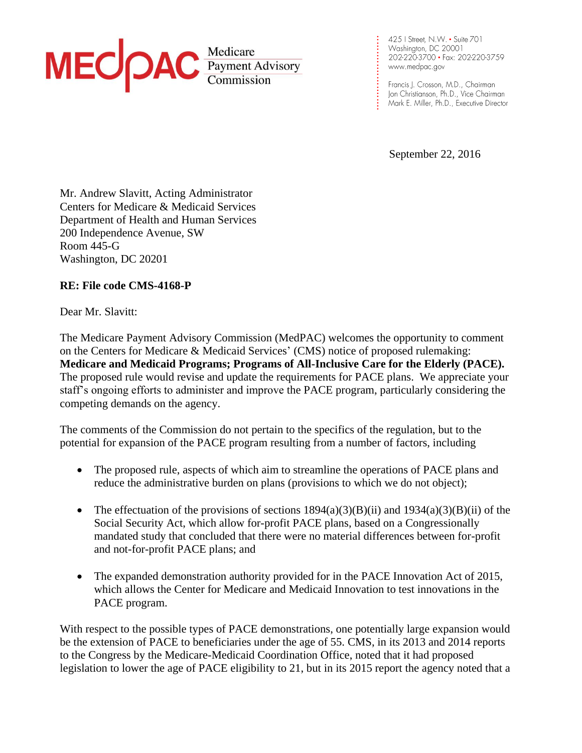

425 | Street, N.W. • Suite 701 202-220-3700 · Fax: 202-220-3759 www.medpac.gov

**. . . . . . . . . . . . . . . . . . . . . . . . . .**

Francis J. Crosson, M.D., Chairman Jon Christianson, Ph.D., Vice Chairman Mark E. Miller, Ph.D., Executive Director

September 22, 2016

Mr. Andrew Slavitt, Acting Administrator Centers for Medicare & Medicaid Services Department of Health and Human Services 200 Independence Avenue, SW Room 445-G Washington, DC 20201

## **RE: File code CMS-4168-P**

Dear Mr. Slavitt:

The Medicare Payment Advisory Commission (MedPAC) welcomes the opportunity to comment on the Centers for Medicare & Medicaid Services' (CMS) notice of proposed rulemaking: **Medicare and Medicaid Programs; Programs of All-Inclusive Care for the Elderly (PACE).** The proposed rule would revise and update the requirements for PACE plans. We appreciate your staff's ongoing efforts to administer and improve the PACE program, particularly considering the competing demands on the agency.

The comments of the Commission do not pertain to the specifics of the regulation, but to the potential for expansion of the PACE program resulting from a number of factors, including

- The proposed rule, aspects of which aim to streamline the operations of PACE plans and reduce the administrative burden on plans (provisions to which we do not object);
- The effectuation of the provisions of sections  $1894(a)(3)(B)(ii)$  and  $1934(a)(3)(B)(ii)$  of the Social Security Act, which allow for-profit PACE plans, based on a Congressionally mandated study that concluded that there were no material differences between for-profit and not-for-profit PACE plans; and
- The expanded demonstration authority provided for in the PACE Innovation Act of 2015, which allows the Center for Medicare and Medicaid Innovation to test innovations in the PACE program.

With respect to the possible types of PACE demonstrations, one potentially large expansion would be the extension of PACE to beneficiaries under the age of 55. CMS, in its 2013 and 2014 reports to the Congress by the Medicare-Medicaid Coordination Office, noted that it had proposed legislation to lower the age of PACE eligibility to 21, but in its 2015 report the agency noted that a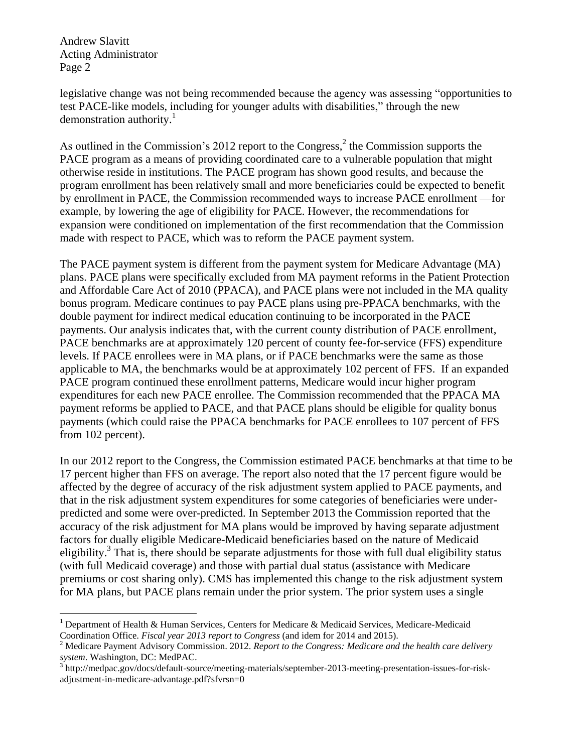Andrew Slavitt Acting Administrator Page 2

legislative change was not being recommended because the agency was assessing "opportunities to test PACE-like models, including for younger adults with disabilities," through the new demonstration authority.<sup>1</sup>

As outlined in the Commission's 2012 report to the Congress, $<sup>2</sup>$  the Commission supports the</sup> PACE program as a means of providing coordinated care to a vulnerable population that might otherwise reside in institutions. The PACE program has shown good results, and because the program enrollment has been relatively small and more beneficiaries could be expected to benefit by enrollment in PACE, the Commission recommended ways to increase PACE enrollment —for example, by lowering the age of eligibility for PACE. However, the recommendations for expansion were conditioned on implementation of the first recommendation that the Commission made with respect to PACE, which was to reform the PACE payment system.

The PACE payment system is different from the payment system for Medicare Advantage (MA) plans. PACE plans were specifically excluded from MA payment reforms in the Patient Protection and Affordable Care Act of 2010 (PPACA), and PACE plans were not included in the MA quality bonus program. Medicare continues to pay PACE plans using pre-PPACA benchmarks, with the double payment for indirect medical education continuing to be incorporated in the PACE payments. Our analysis indicates that, with the current county distribution of PACE enrollment, PACE benchmarks are at approximately 120 percent of county fee-for-service (FFS) expenditure levels. If PACE enrollees were in MA plans, or if PACE benchmarks were the same as those applicable to MA, the benchmarks would be at approximately 102 percent of FFS. If an expanded PACE program continued these enrollment patterns, Medicare would incur higher program expenditures for each new PACE enrollee. The Commission recommended that the PPACA MA payment reforms be applied to PACE, and that PACE plans should be eligible for quality bonus payments (which could raise the PPACA benchmarks for PACE enrollees to 107 percent of FFS from 102 percent).

In our 2012 report to the Congress, the Commission estimated PACE benchmarks at that time to be 17 percent higher than FFS on average. The report also noted that the 17 percent figure would be affected by the degree of accuracy of the risk adjustment system applied to PACE payments, and that in the risk adjustment system expenditures for some categories of beneficiaries were underpredicted and some were over-predicted. In September 2013 the Commission reported that the accuracy of the risk adjustment for MA plans would be improved by having separate adjustment factors for dually eligible Medicare-Medicaid beneficiaries based on the nature of Medicaid eligibility.<sup>3</sup> That is, there should be separate adjustments for those with full dual eligibility status (with full Medicaid coverage) and those with partial dual status (assistance with Medicare premiums or cost sharing only). CMS has implemented this change to the risk adjustment system for MA plans, but PACE plans remain under the prior system. The prior system uses a single

 $\overline{a}$ <sup>1</sup> Department of Health & Human Services, Centers for Medicare & Medicaid Services, Medicare-Medicaid Coordination Office. *Fiscal year 2013 report to Congress* (and idem for 2014 and 2015).

<sup>2</sup> Medicare Payment Advisory Commission. 2012. *Report to the Congress: Medicare and the health care delivery system*. Washington, DC: MedPAC.

<sup>&</sup>lt;sup>3</sup>http://medpac.gov/docs/default-source/meeting-materials/september-2013-meeting-presentation-issues-for-riskadjustment-in-medicare-advantage.pdf?sfvrsn=0